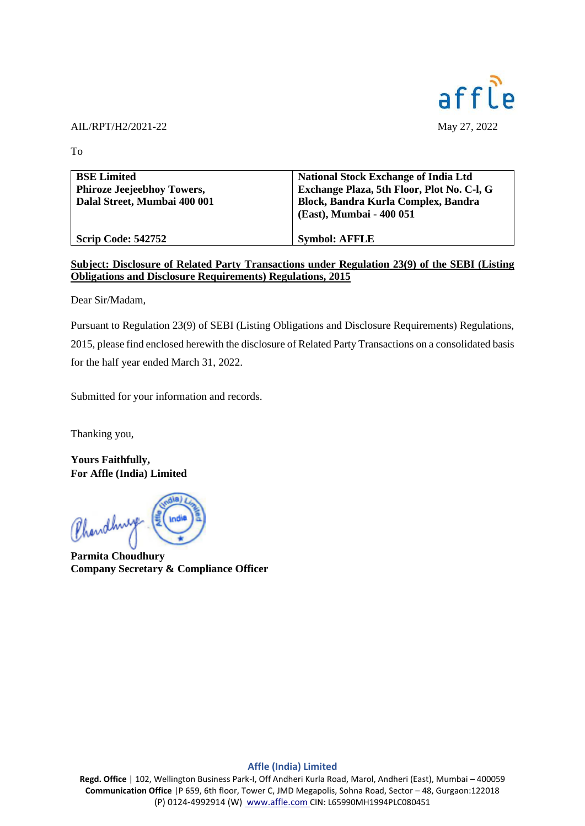

## AIL/RPT/H2/2021-22 May 27, 2022

To

| <b>BSE Limited</b><br><b>Phiroze Jeejeebhoy Towers,</b><br>Dalal Street, Mumbai 400 001 | <b>National Stock Exchange of India Ltd</b><br>Exchange Plaza, 5th Floor, Plot No. C-l, G<br>Block, Bandra Kurla Complex, Bandra<br>(East), Mumbai - 400 051 |
|-----------------------------------------------------------------------------------------|--------------------------------------------------------------------------------------------------------------------------------------------------------------|
| <b>Scrip Code: 542752</b>                                                               | <b>Symbol: AFFLE</b>                                                                                                                                         |

## **Subject: Disclosure of Related Party Transactions under Regulation 23(9) of the SEBI (Listing Obligations and Disclosure Requirements) Regulations, 2015**

Dear Sir/Madam,

Pursuant to Regulation 23(9) of SEBI (Listing Obligations and Disclosure Requirements) Regulations, 2015, please find enclosed herewith the disclosure of Related Party Transactions on a consolidated basis for the half year ended March 31, 2022.

Submitted for your information and records.

Thanking you,

**Yours Faithfully, For Affle (India) Limited**

Chandhurge Endia

**Parmita Choudhury Company Secretary & Compliance Officer**

## **Affle (India) Limited**

**Regd. Office** | 102, Wellington Business Park-I, Off Andheri Kurla Road, Marol, Andheri (East), Mumbai – 400059 **Communication Office** |P 659, 6th floor, Tower C, JMD Megapolis, Sohna Road, Sector – 48, Gurgaon:122018 (P) 0124-4992914 (W) [www.affle.com](http://www.affle.com/) CIN: L65990MH1994PLC080451